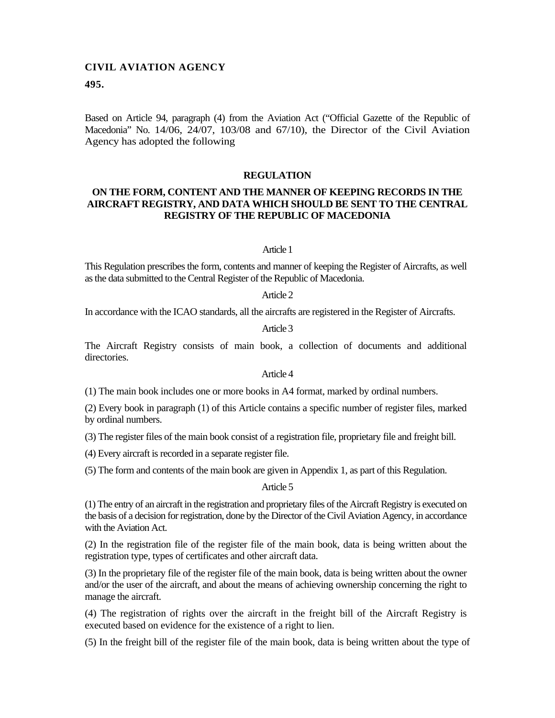# **CIVIL AVIATION AGENCY**

### **495.**

Based on Article 94, paragraph (4) from the Aviation Act ("Official Gazette of the Republic of Macedonia" No. 14/06, 24/07, 103/08 and 67/10), the Director of the Civil Aviation Agency has adopted the following

### **REGULATION**

# **ON THE FORM, CONTENT AND THE MANNER OF KEEPING RECORDS IN THE AIRCRAFT REGISTRY, AND DATA WHICH SHOULD BE SENT TO THE CENTRAL REGISTRY OF THE REPUBLIC OF MACEDONIA**

### Article 1

This Regulation prescribes the form, contents and manner of keeping the Register of Aircrafts, as well as the data submitted to the Central Register of the Republic of Macedonia.

#### Article 2

In accordance with the ICAO standards, all the aircrafts are registered in the Register of Aircrafts.

# Article 3

The Aircraft Registry consists of main book, a collection of documents and additional directories.

### Article 4

(1) The main book includes one or more books in A4 format, marked by ordinal numbers.

(2) Every book in paragraph (1) of this Article contains a specific number of register files, marked by ordinal numbers.

(3) The register files of the main book consist of a registration file, proprietary file and freight bill.

(4) Every aircraft is recorded in a separate register file.

(5) The form and contents of the main book are given in Appendix 1, as part of this Regulation.

#### Article 5

(1) The entry of an aircraft in the registration and proprietary files of the Aircraft Registry is executed on the basis of a decision for registration, done by the Director of the Civil Aviation Agency, in accordance with the Aviation Act.

(2) In the registration file of the register file of the main book, data is being written about the registration type, types of certificates and other aircraft data.

(3) In the proprietary file of the register file of the main book, data is being written about the owner and/or the user of the aircraft, and about the means of achieving ownership concerning the right to manage the aircraft.

(4) The registration of rights over the aircraft in the freight bill of the Aircraft Registry is executed based on evidence for the existence of a right to lien.

(5) In the freight bill of the register file of the main book, data is being written about the type of